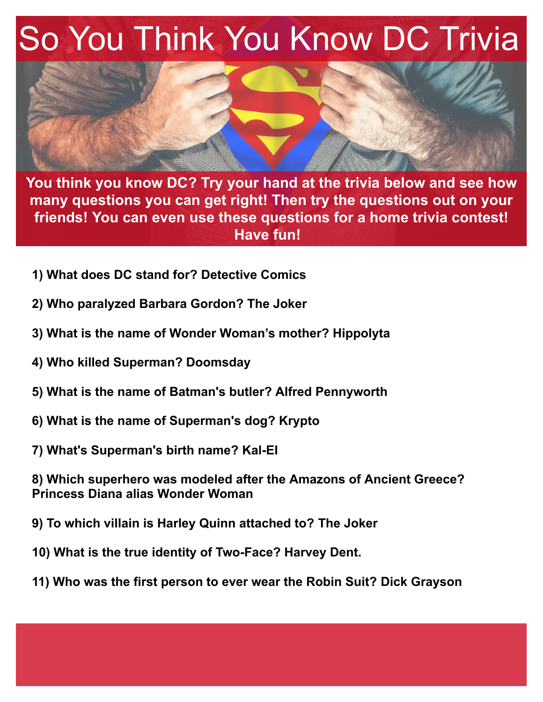## So You Think You Know DC Trivia



**You think you know DC? Try your hand at the trivia below and see how many questions you can get right! Then try the questions out on your friends! You can even use these questions for a home trivia contest! Have fun!**

- **1) What does DC stand for? Detective Comics**
- **2) Who paralyzed Barbara Gordon? The Joker**
- **3) What is the name of Wonder Woman's mother? Hippolyta**
- **4) Who killed Superman? Doomsday**
- **5) What is the name of Batman's butler? Alfred Pennyworth**
- **6) What is the name of Superman's dog? Krypto**
- **7) What's Superman's birth name? Kal-EI**

**8) Which superhero was modeled after the Amazons of Ancient Greece? Princess Diana alias Wonder Woman**

- **9) To which villain is Harley Quinn attached to? The Joker**
- **10) What is the true identity of Two-Face? Harvey Dent.**
- **11) Who was the first person to ever wear the Robin Suit? Dick Grayson**